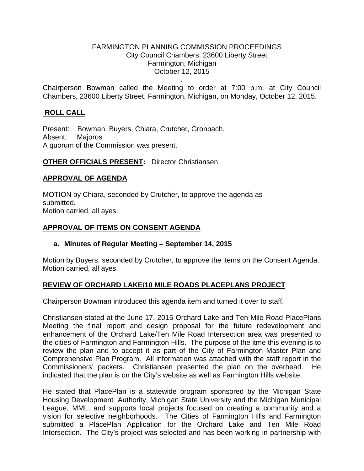#### FARMINGTON PLANNING COMMISSION PROCEEDINGS City Council Chambers, 23600 Liberty Street Farmington, Michigan October 12, 2015

. Chairperson Bowman called the Meeting to order at 7:00 p.m. at City Council Chambers, 23600 Liberty Street, Farmington, Michigan, on Monday, October 12, 2015.

## **ROLL CALL**

Present: Bowman, Buyers, Chiara, Crutcher, Gronbach, Absent: Majoros A quorum of the Commission was present.

## **OTHER OFFICIALS PRESENT:** Director Christiansen

#### **APPROVAL OF AGENDA**

MOTION by Chiara, seconded by Crutcher, to approve the agenda as submitted. Motion carried, all ayes.

#### **APPROVAL OF ITEMS ON CONSENT AGENDA**

#### **a. Minutes of Regular Meeting – September 14, 2015**

Motion by Buyers, seconded by Crutcher, to approve the items on the Consent Agenda. Motion carried, all ayes.

## **REVIEW OF ORCHARD LAKE/10 MILE ROADS PLACEPLANS PROJECT**

Chairperson Bowman introduced this agenda item and turned it over to staff.

Christiansen stated at the June 17, 2015 Orchard Lake and Ten Mile Road PlacePlans Meeting the final report and design proposal for the future redevelopment and enhancement of the Orchard Lake/Ten Mile Road Intersection area was presented to the cities of Farmington and Farmington Hills. The purpose of the itme this evening is to review the plan and to accept it as part of the City of Farmington Master Plan and Comprehensive Plan Program. All information was attached with the staff report in the Commissioners' packets. Christiansen presented the plan on the overhead. He indicated that the plan is on the City's website as well as Farmington Hills website.

He stated that PlacePlan is a statewide program sponsored by the Michigan State Housing Development Authority, Michigan State University and the Michigan Municipal League, MML, and supports local projects focused on creating a community and a vision for selective neighborhoods. The Cities of Farmington Hills and Farmington submitted a PlacePlan Application for the Orchard Lake and Ten Mile Road Intersection. The City's project was selected and has been working in partnership with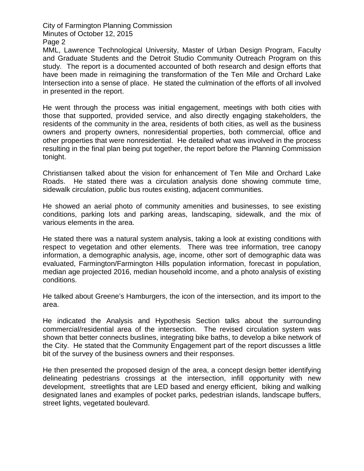City of Farmington Planning Commission Minutes of October 12, 2015

Page 2

MML, Lawrence Technological University, Master of Urban Design Program, Faculty and Graduate Students and the Detroit Studio Community Outreach Program on this study. The report is a documented accounted of both research and design efforts that have been made in reimagining the transformation of the Ten Mile and Orchard Lake Intersection into a sense of place. He stated the culmination of the efforts of all involved in presented in the report.

He went through the process was initial engagement, meetings with both cities with those that supported, provided service, and also directly engaging stakeholders, the residents of the community in the area, residents of both cities, as well as the business owners and property owners, nonresidential properties, both commercial, office and other properties that were nonresidential. He detailed what was involved in the process resulting in the final plan being put together, the report before the Planning Commission tonight.

Christiansen talked about the vision for enhancement of Ten Mile and Orchard Lake Roads. He stated there was a circulation analysis done showing commute time, sidewalk circulation, public bus routes existing, adjacent communities.

He showed an aerial photo of community amenities and businesses, to see existing conditions, parking lots and parking areas, landscaping, sidewalk, and the mix of various elements in the area.

He stated there was a natural system analysis, taking a look at existing conditions with respect to vegetation and other elements. There was tree information, tree canopy information, a demographic analysis, age, income, other sort of demographic data was evaluated, Farmington/Farmington Hills population information, forecast in population, median age projected 2016, median household income, and a photo analysis of existing conditions.

He talked about Greene's Hamburgers, the icon of the intersection, and its import to the area.

He indicated the Analysis and Hypothesis Section talks about the surrounding commercial/residential area of the intersection. The revised circulation system was shown that better connects buslines, integrating bike baths, to develop a bike network of the City. He stated that the Community Engagement part of the report discusses a little bit of the survey of the business owners and their responses.

He then presented the proposed design of the area, a concept design better identifying delineating pedestrians crossings at the intersection, infill opportunity with new development, streetlights that are LED based and energy efficient, biking and walking designated lanes and examples of pocket parks, pedestrian islands, landscape buffers, street lights, vegetated boulevard.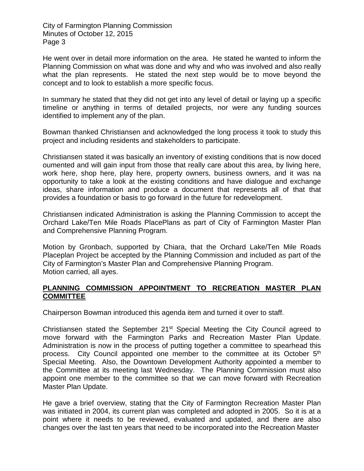City of Farmington Planning Commission Minutes of October 12, 2015 Page 3

He went over in detail more information on the area. He stated he wanted to inform the Planning Commission on what was done and why and who was involved and also really what the plan represents. He stated the next step would be to move beyond the concept and to look to establish a more specific focus.

In summary he stated that they did not get into any level of detail or laying up a specific timeline or anything in terms of detailed projects, nor were any funding sources identified to implement any of the plan.

Bowman thanked Christiansen and acknowledged the long process it took to study this project and including residents and stakeholders to participate.

Christiansen stated it was basically an inventory of existing conditions that is now doced oumented and will gain input from those that really care about this area, by living here, work here, shop here, play here, property owners, business owners, and it was na opportunity to take a look at the existing conditions and have dialogue and exchange ideas, share information and produce a document that represents all of that that provides a foundation or basis to go forward in the future for redevelopment.

Christiansen indicated Administration is asking the Planning Commission to accept the Orchard Lake/Ten Mile Roads PlacePlans as part of City of Farmington Master Plan and Comprehensive Planning Program.

Motion by Gronbach, supported by Chiara, that the Orchard Lake/Ten Mile Roads Placeplan Project be accepted by the Planning Commission and included as part of the City of Farmington's Master Plan and Comprehensive Planning Program. Motion carried, all ayes.

# **PLANNING COMMISSION APPOINTMENT TO RECREATION MASTER PLAN COMMITTEE**

Chairperson Bowman introduced this agenda item and turned it over to staff.

Christiansen stated the September  $21<sup>st</sup>$  Special Meeting the City Council agreed to move forward with the Farmington Parks and Recreation Master Plan Update. Administration is now in the process of putting together a committee to spearhead this process. City Council appointed one member to the committee at its October 5<sup>th</sup> Special Meeting. Also, the Downtown Development Authority appointed a member to the Committee at its meeting last Wednesday. The Planning Commission must also appoint one member to the committee so that we can move forward with Recreation Master Plan Update.

He gave a brief overview, stating that the City of Farmington Recreation Master Plan was initiated in 2004, its current plan was completed and adopted in 2005. So it is at a point where it needs to be reviewed, evaluated and updated, and there are also changes over the last ten years that need to be incorporated into the Recreation Master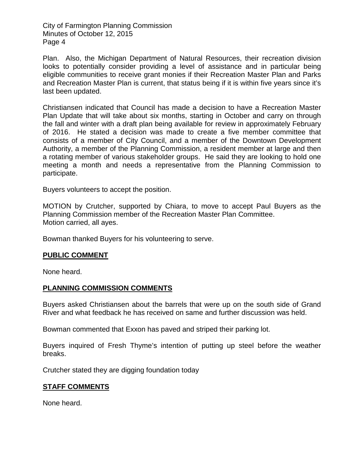City of Farmington Planning Commission Minutes of October 12, 2015 Page 4

Plan. Also, the Michigan Department of Natural Resources, their recreation division looks to potentially consider providing a level of assistance and in particular being eligible communities to receive grant monies if their Recreation Master Plan and Parks and Recreation Master Plan is current, that status being if it is within five years since it's last been updated.

Christiansen indicated that Council has made a decision to have a Recreation Master Plan Update that will take about six months, starting in October and carry on through the fall and winter with a draft plan being available for review in approximately February of 2016. He stated a decision was made to create a five member committee that consists of a member of City Council, and a member of the Downtown Development Authority, a member of the Planning Commission, a resident member at large and then a rotating member of various stakeholder groups. He said they are looking to hold one meeting a month and needs a representative from the Planning Commission to participate.

Buyers volunteers to accept the position.

MOTION by Crutcher, supported by Chiara, to move to accept Paul Buyers as the Planning Commission member of the Recreation Master Plan Committee. Motion carried, all ayes.

Bowman thanked Buyers for his volunteering to serve.

#### **PUBLIC COMMENT**

None heard.

## **PLANNING COMMISSION COMMENTS**

Buyers asked Christiansen about the barrels that were up on the south side of Grand River and what feedback he has received on same and further discussion was held.

Bowman commented that Exxon has paved and striped their parking lot.

Buyers inquired of Fresh Thyme's intention of putting up steel before the weather breaks.

Crutcher stated they are digging foundation today

## **STAFF COMMENTS**

None heard.